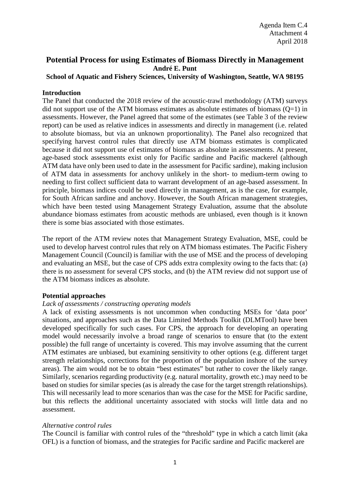# **Potential Process for using Estimates of Biomass Directly in Management André E. Punt**

## **School of Aquatic and Fishery Sciences, University of Washington, Seattle, WA 98195**

## **Introduction**

The Panel that conducted the 2018 review of the acoustic-trawl methodology (ATM) surveys did not support use of the ATM biomass estimates as absolute estimates of biomass  $(Q=1)$  in assessments. However, the Panel agreed that some of the estimates (see Table 3 of the review report) can be used as relative indices in assessments and directly in management (i.e. related to absolute biomass, but via an unknown proportionality). The Panel also recognized that specifying harvest control rules that directly use ATM biomass estimates is complicated because it did not support use of estimates of biomass as absolute in assessments. At present, age-based stock assessments exist only for Pacific sardine and Pacific mackerel (although ATM data have only been used to date in the assessment for Pacific sardine), making inclusion of ATM data in assessments for anchovy unlikely in the short- to medium-term owing to needing to first collect sufficient data to warrant development of an age-based assessment. In principle, biomass indices could be used directly in management, as is the case, for example, for South African sardine and anchovy. However, the South African management strategies, which have been tested using Management Strategy Evaluation, assume that the absolute abundance biomass estimates from acoustic methods are unbiased, even though is it known there is some bias associated with those estimates.

The report of the ATM review notes that Management Strategy Evaluation, MSE, could be used to develop harvest control rules that rely on ATM biomass estimates. The Pacific Fishery Management Council (Council) is familiar with the use of MSE and the process of developing and evaluating an MSE, but the case of CPS adds extra complexity owing to the facts that: (a) there is no assessment for several CPS stocks, and (b) the ATM review did not support use of the ATM biomass indices as absolute.

### **Potential approaches**

### *Lack of assessments / constructing operating models*

A lack of existing assessments is not uncommon when conducting MSEs for 'data poor' situations, and approaches such as the Data Limited Methods Toolkit (DLMTool) have been developed specifically for such cases. For CPS, the approach for developing an operating model would necessarily involve a broad range of scenarios to ensure that (to the extent possible) the full range of uncertainty is covered. This may involve assuming that the current ATM estimates are unbiased, but examining sensitivity to other options (e.g. different target strength relationships, corrections for the proportion of the population inshore of the survey areas). The aim would not be to obtain "best estimates" but rather to cover the likely range. Similarly, scenarios regarding productivity (e.g. natural mortality, growth etc.) may need to be based on studies for similar species (as is already the case for the target strength relationships). This will necessarily lead to more scenarios than was the case for the MSE for Pacific sardine, but this reflects the additional uncertainty associated with stocks will little data and no assessment.

### *Alternative control rules*

The Council is familiar with control rules of the "threshold" type in which a catch limit (aka OFL) is a function of biomass, and the strategies for Pacific sardine and Pacific mackerel are